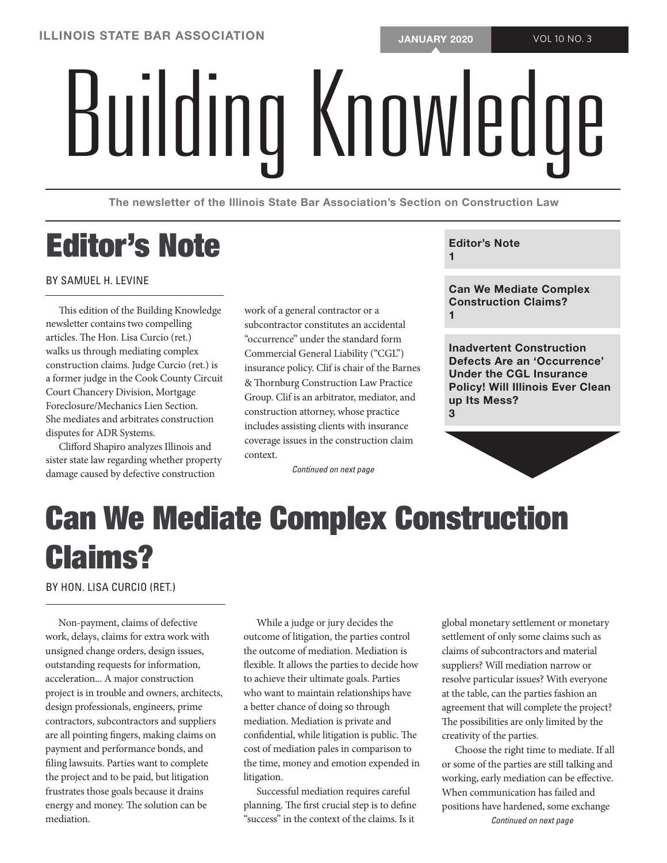# BUILDING KNOWLEDGE

The newsletter of the Illinois State Bar Association's Section on Construction Law

# Editor's Note

## BY SAMUEL H. LEVINE

This edition of the Building Knowledge newsletter contains two compelling articles. The Hon. Lisa Curcio (ret.) walks us through mediating complex construction claims. Judge Curcio (ret.) is a former judge in the Cook County Circuit Court Chancery Division, Mortgage Foreclosure/Mechanics Lien Section. She mediates and arbitrates construction disputes for ADR Systems.

Clifford Shapiro analyzes Illinois and sister state law regarding whether property damage caused by defective construction

work of a general contractor or a subcontractor constitutes an accidental "occurrence" under the standard form Commercial General Liability ("CGL") insurance policy. Clif is chair of the Barnes & Thornburg Construction Law Practice Group. Clif is an arbitrator, mediator, and construction attorney, whose practice includes assisting clients with insurance coverage issues in the construction claim context.

*Continued on next page*

# Editor's Note

1

Can We Mediate Complex Construction Claims? 1

Inadvertent Construction Defects Are an 'Occurrence' Under the CGL Insurance Policy! Will Illinois Ever Clean up Its Mess? 3

# Can We Mediate Complex Construction Claims?

BY HON. LISA CURCIO (RET.)

Non-payment, claims of defective work, delays, claims for extra work with unsigned change orders, design issues, outstanding requests for information, acceleration... A major construction project is in trouble and owners, architects, design professionals, engineers, prime contractors, subcontractors and suppliers are all pointing fingers, making claims on payment and performance bonds, and filing lawsuits. Parties want to complete the project and to be paid, but litigation frustrates those goals because it drains energy and money. The solution can be mediation.

While a judge or jury decides the outcome of litigation, the parties control the outcome of mediation. Mediation is flexible. It allows the parties to decide how to achieve their ultimate goals. Parties who want to maintain relationships have a better chance of doing so through mediation. Mediation is private and confidential, while litigation is public. The cost of mediation pales in comparison to the time, money and emotion expended in litigation.

Successful mediation requires careful planning. The first crucial step is to define "success" in the context of the claims. Is it

global monetary settlement or monetary settlement of only some claims such as claims of subcontractors and material suppliers? Will mediation narrow or resolve particular issues? With everyone at the table, can the parties fashion an agreement that will complete the project? The possibilities are only limited by the creativity of the parties.

Choose the right time to mediate. If all or some of the parties are still talking and working, early mediation can be effective. When communication has failed and positions have hardened, some exchange *Continued on next page*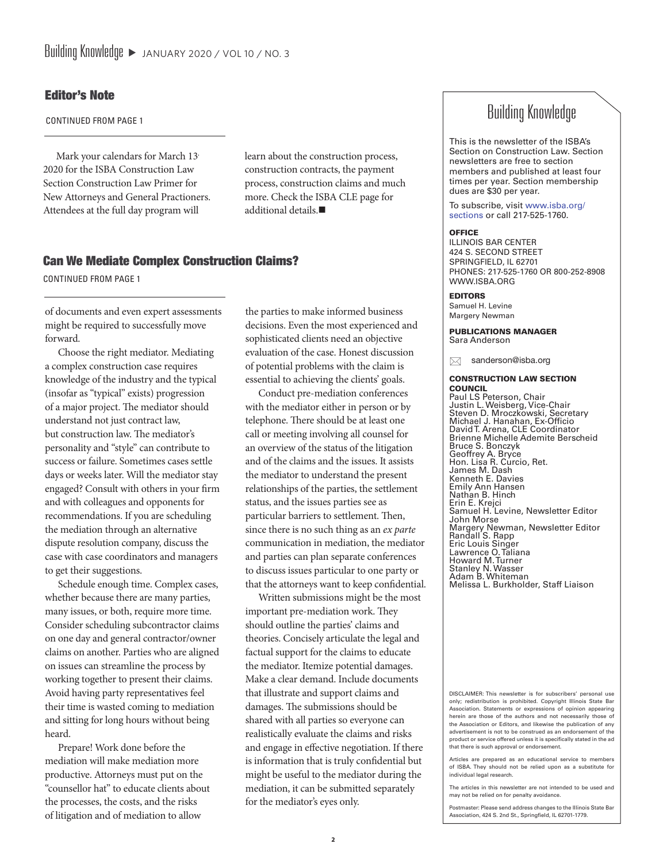# Editor's Note

CONTINUED FROM PAGE 1

Mark your calendars for March 13<sup>,</sup> 2020 for the ISBA Construction Law Section Construction Law Primer for New Attorneys and General Practioners. Attendees at the full day program will

learn about the construction process, construction contracts, the payment process, construction claims and much more. Check the ISBA CLE page for additional details. $\blacksquare$ 

# Can We Mediate Complex Construction Claims?

CONTINUED FROM PAGE 1

of documents and even expert assessments might be required to successfully move forward.

Choose the right mediator. Mediating a complex construction case requires knowledge of the industry and the typical (insofar as "typical" exists) progression of a major project. The mediator should understand not just contract law, but construction law. The mediator's personality and "style" can contribute to success or failure. Sometimes cases settle days or weeks later. Will the mediator stay engaged? Consult with others in your firm and with colleagues and opponents for recommendations. If you are scheduling the mediation through an alternative dispute resolution company, discuss the case with case coordinators and managers to get their suggestions.

Schedule enough time. Complex cases, whether because there are many parties, many issues, or both, require more time. Consider scheduling subcontractor claims on one day and general contractor/owner claims on another. Parties who are aligned on issues can streamline the process by working together to present their claims. Avoid having party representatives feel their time is wasted coming to mediation and sitting for long hours without being heard.

Prepare! Work done before the mediation will make mediation more productive. Attorneys must put on the "counsellor hat" to educate clients about the processes, the costs, and the risks of litigation and of mediation to allow

the parties to make informed business decisions. Even the most experienced and sophisticated clients need an objective evaluation of the case. Honest discussion of potential problems with the claim is essential to achieving the clients' goals.

Conduct pre-mediation conferences with the mediator either in person or by telephone. There should be at least one call or meeting involving all counsel for an overview of the status of the litigation and of the claims and the issues. It assists the mediator to understand the present relationships of the parties, the settlement status, and the issues parties see as particular barriers to settlement. Then, since there is no such thing as an *ex parte* communication in mediation, the mediator and parties can plan separate conferences to discuss issues particular to one party or that the attorneys want to keep confidential.

Written submissions might be the most important pre-mediation work. They should outline the parties' claims and theories. Concisely articulate the legal and factual support for the claims to educate the mediator. Itemize potential damages. Make a clear demand. Include documents that illustrate and support claims and damages. The submissions should be shared with all parties so everyone can realistically evaluate the claims and risks and engage in effective negotiation. If there is information that is truly confidential but might be useful to the mediator during the mediation, it can be submitted separately for the mediator's eyes only.

# Building Knowledge

This is the newsletter of the ISBA's Section on Construction Law. Section newsletters are free to section members and published at least four times per year. Section membership dues are \$30 per year.

To subscribe, visit www.isba.org/ sections or call 217-525-1760.

#### **OFFICE**

ILLINOIS BAR CENTER 424 S. SECOND STREET SPRINGFIELD, IL 62701 PHONES: 217-525-1760 OR 800-252-8908 WWW.ISBA.ORG

#### EDITORS

Samuel H. Levine Margery Newman

PUBLICATIONS MANAGER Sara Anderson

sanderson@isba.org

#### CONSTRUCTION LAW SECTION **COUNCIL**

Paul LS Peterson, Chair Justin L. Weisberg, Vice-Chair Steven D. Mroczkowski, Secretary Michael J. Hanahan, Ex-Officio David T. Arena, CLE Coordinator Brienne Michelle Ademite Berscheid Bruce S. Bonczyk Geoffrey A. Bryce Hon. Lisa R. Curcio, Ret. James M. Dash Kenneth E. Davies Emily Ann Hansen Nathan B. Hinch Erin E. Krejci Samuel H. Levine, Newsletter Editor John Morse Margery Newman, Newsletter Editor Randall S. Rapp Eric Louis Singer Lawrence O. Taliana Howard M. Turner Stanley N. Wasser Adam B. Whiteman Melissa L. Burkholder, Staff Liaison

DISCLAIMER: This newsletter is for subscribers' personal use only; redistribution is prohibited. Copyright Illinois State Bar Association. Statements or expressions of opinion appearing herein are those of the authors and not necessarily those of the Association or Editors, and likewise the publication of any advertisement is not to be construed as an endorsement of the product or service offered unless it is specifically stated in the ad that there is such approval or endorsement.

Articles are prepared as an educational service to members of ISBA. They should not be relied upon as a substitute for individual legal research.

The articles in this newsletter are not intended to be used and may not be relied on for penalty avoidance.

Postmaster: Please send address changes to the Illinois State Bar Association, 424 S. 2nd St., Springfield, IL 62701-1779.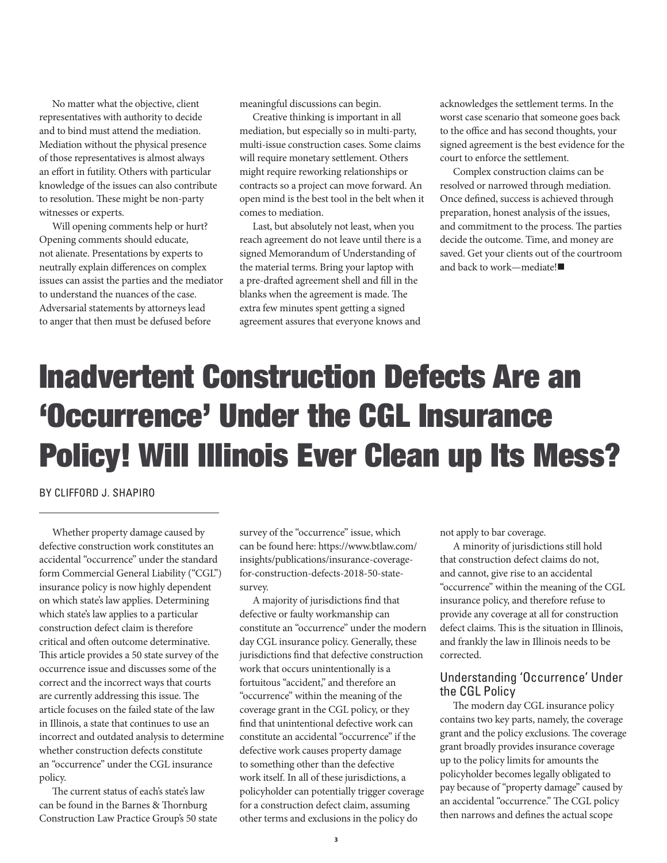No matter what the objective, client representatives with authority to decide and to bind must attend the mediation. Mediation without the physical presence of those representatives is almost always an effort in futility. Others with particular knowledge of the issues can also contribute to resolution. These might be non-party witnesses or experts.

Will opening comments help or hurt? Opening comments should educate, not alienate. Presentations by experts to neutrally explain differences on complex issues can assist the parties and the mediator to understand the nuances of the case. Adversarial statements by attorneys lead to anger that then must be defused before

meaningful discussions can begin.

Creative thinking is important in all mediation, but especially so in multi-party, multi-issue construction cases. Some claims will require monetary settlement. Others might require reworking relationships or contracts so a project can move forward. An open mind is the best tool in the belt when it comes to mediation.

Last, but absolutely not least, when you reach agreement do not leave until there is a signed Memorandum of Understanding of the material terms. Bring your laptop with a pre-drafted agreement shell and fill in the blanks when the agreement is made. The extra few minutes spent getting a signed agreement assures that everyone knows and

acknowledges the settlement terms. In the worst case scenario that someone goes back to the office and has second thoughts, your signed agreement is the best evidence for the court to enforce the settlement.

Complex construction claims can be resolved or narrowed through mediation. Once defined, success is achieved through preparation, honest analysis of the issues, and commitment to the process. The parties decide the outcome. Time, and money are saved. Get your clients out of the courtroom and back to work—mediate! $\blacksquare$ 

# Inadvertent Construction Defects Are an 'Occurrence' Under the CGL Insurance Policy! Will Illinois Ever Clean up Its Mess?

BY CLIFFORD J. SHAPIRO

Whether property damage caused by defective construction work constitutes an accidental "occurrence" under the standard form Commercial General Liability ("CGL") insurance policy is now highly dependent on which state's law applies. Determining which state's law applies to a particular construction defect claim is therefore critical and often outcome determinative. This article provides a 50 state survey of the occurrence issue and discusses some of the correct and the incorrect ways that courts are currently addressing this issue. The article focuses on the failed state of the law in Illinois, a state that continues to use an incorrect and outdated analysis to determine whether construction defects constitute an "occurrence" under the CGL insurance policy.

The current status of each's state's law can be found in the Barnes & Thornburg Construction Law Practice Group's 50 state survey of the "occurrence" issue, which can be found here: https://www.btlaw.com/ insights/publications/insurance-coveragefor-construction-defects-2018-50-statesurvey.

A majority of jurisdictions find that defective or faulty workmanship can constitute an "occurrence" under the modern day CGL insurance policy. Generally, these jurisdictions find that defective construction work that occurs unintentionally is a fortuitous "accident," and therefore an "occurrence" within the meaning of the coverage grant in the CGL policy, or they find that unintentional defective work can constitute an accidental "occurrence" if the defective work causes property damage to something other than the defective work itself. In all of these jurisdictions, a policyholder can potentially trigger coverage for a construction defect claim, assuming other terms and exclusions in the policy do

not apply to bar coverage.

A minority of jurisdictions still hold that construction defect claims do not, and cannot, give rise to an accidental "occurrence" within the meaning of the CGL insurance policy, and therefore refuse to provide any coverage at all for construction defect claims. This is the situation in Illinois, and frankly the law in Illinois needs to be corrected.

# Understanding 'Occurrence' Under the CGL Policy

The modern day CGL insurance policy contains two key parts, namely, the coverage grant and the policy exclusions. The coverage grant broadly provides insurance coverage up to the policy limits for amounts the policyholder becomes legally obligated to pay because of "property damage" caused by an accidental "occurrence." The CGL policy then narrows and defines the actual scope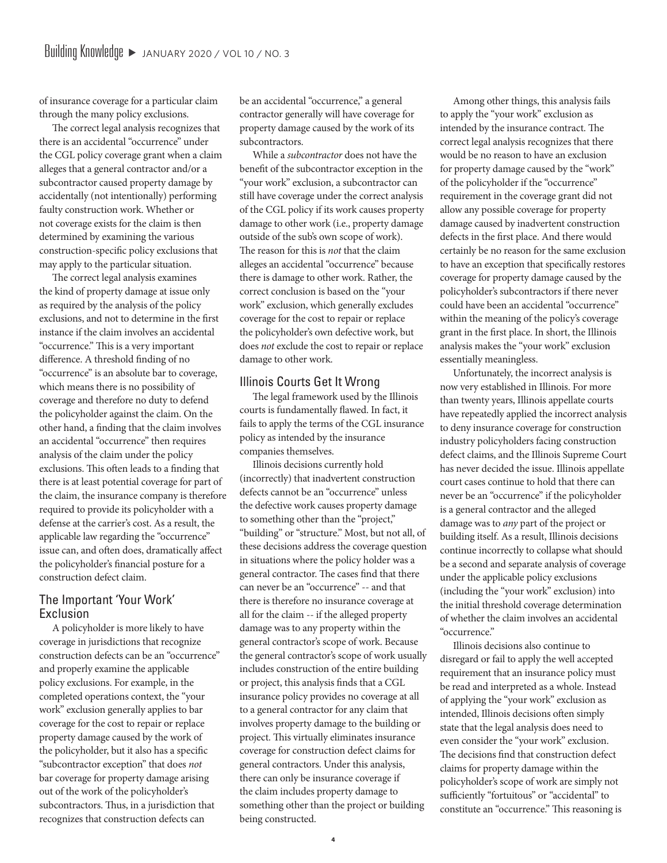of insurance coverage for a particular claim through the many policy exclusions.

The correct legal analysis recognizes that there is an accidental "occurrence" under the CGL policy coverage grant when a claim alleges that a general contractor and/or a subcontractor caused property damage by accidentally (not intentionally) performing faulty construction work. Whether or not coverage exists for the claim is then determined by examining the various construction-specific policy exclusions that may apply to the particular situation.

The correct legal analysis examines the kind of property damage at issue only as required by the analysis of the policy exclusions, and not to determine in the first instance if the claim involves an accidental "occurrence." This is a very important difference. A threshold finding of no "occurrence" is an absolute bar to coverage, which means there is no possibility of coverage and therefore no duty to defend the policyholder against the claim. On the other hand, a finding that the claim involves an accidental "occurrence" then requires analysis of the claim under the policy exclusions. This often leads to a finding that there is at least potential coverage for part of the claim, the insurance company is therefore required to provide its policyholder with a defense at the carrier's cost. As a result, the applicable law regarding the "occurrence" issue can, and often does, dramatically affect the policyholder's financial posture for a construction defect claim.

# The Important 'Your Work' Exclusion

A policyholder is more likely to have coverage in jurisdictions that recognize construction defects can be an "occurrence" and properly examine the applicable policy exclusions. For example, in the completed operations context, the "your work" exclusion generally applies to bar coverage for the cost to repair or replace property damage caused by the work of the policyholder, but it also has a specific "subcontractor exception" that does *not* bar coverage for property damage arising out of the work of the policyholder's subcontractors. Thus, in a jurisdiction that recognizes that construction defects can

be an accidental "occurrence," a general contractor generally will have coverage for property damage caused by the work of its subcontractors.

While a *subcontractor* does not have the benefit of the subcontractor exception in the "your work" exclusion, a subcontractor can still have coverage under the correct analysis of the CGL policy if its work causes property damage to other work (i.e., property damage outside of the sub's own scope of work). The reason for this is *not* that the claim alleges an accidental "occurrence" because there is damage to other work. Rather, the correct conclusion is based on the "your work" exclusion, which generally excludes coverage for the cost to repair or replace the policyholder's own defective work, but does *not* exclude the cost to repair or replace damage to other work.

### Illinois Courts Get It Wrong

The legal framework used by the Illinois courts is fundamentally flawed. In fact, it fails to apply the terms of the CGL insurance policy as intended by the insurance companies themselves.

Illinois decisions currently hold (incorrectly) that inadvertent construction defects cannot be an "occurrence" unless the defective work causes property damage to something other than the "project," "building" or "structure." Most, but not all, of these decisions address the coverage question in situations where the policy holder was a general contractor. The cases find that there can never be an "occurrence" -- and that there is therefore no insurance coverage at all for the claim -- if the alleged property damage was to any property within the general contractor's scope of work. Because the general contractor's scope of work usually includes construction of the entire building or project, this analysis finds that a CGL insurance policy provides no coverage at all to a general contractor for any claim that involves property damage to the building or project. This virtually eliminates insurance coverage for construction defect claims for general contractors. Under this analysis, there can only be insurance coverage if the claim includes property damage to something other than the project or building being constructed.

Among other things, this analysis fails to apply the "your work" exclusion as intended by the insurance contract. The correct legal analysis recognizes that there would be no reason to have an exclusion for property damage caused by the "work" of the policyholder if the "occurrence" requirement in the coverage grant did not allow any possible coverage for property damage caused by inadvertent construction defects in the first place. And there would certainly be no reason for the same exclusion to have an exception that specifically restores coverage for property damage caused by the policyholder's subcontractors if there never could have been an accidental "occurrence" within the meaning of the policy's coverage grant in the first place. In short, the Illinois analysis makes the "your work" exclusion essentially meaningless.

Unfortunately, the incorrect analysis is now very established in Illinois. For more than twenty years, Illinois appellate courts have repeatedly applied the incorrect analysis to deny insurance coverage for construction industry policyholders facing construction defect claims, and the Illinois Supreme Court has never decided the issue. Illinois appellate court cases continue to hold that there can never be an "occurrence" if the policyholder is a general contractor and the alleged damage was to *any* part of the project or building itself. As a result, Illinois decisions continue incorrectly to collapse what should be a second and separate analysis of coverage under the applicable policy exclusions (including the "your work" exclusion) into the initial threshold coverage determination of whether the claim involves an accidental "occurrence."

Illinois decisions also continue to disregard or fail to apply the well accepted requirement that an insurance policy must be read and interpreted as a whole. Instead of applying the "your work" exclusion as intended, Illinois decisions often simply state that the legal analysis does need to even consider the "your work" exclusion. The decisions find that construction defect claims for property damage within the policyholder's scope of work are simply not sufficiently "fortuitous" or "accidental" to constitute an "occurrence." This reasoning is